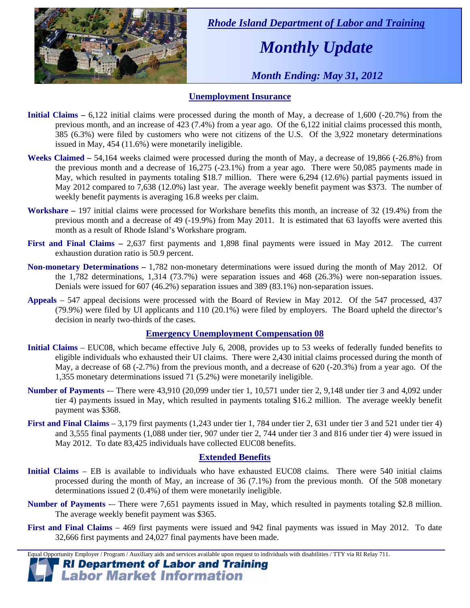

 *Rhode Island Department of Labor and Training* 

# *Monthly Update*

 *Month Ending: May 31, 2012* 

### **Unemployment Insurance**

- **Initial Claims** 6,122 initial claims were processed during the month of May, a decrease of 1,600 (-20.7%) from the previous month, and an increase of 423 (7.4%) from a year ago. Of the 6,122 initial claims processed this month, 385 (6.3%) were filed by customers who were not citizens of the U.S. Of the 3,922 monetary determinations issued in May, 454 (11.6%) were monetarily ineligible.
- **Weeks Claimed** 54,164 weeks claimed were processed during the month of May, a decrease of 19,866 (-26.8%) from the previous month and a decrease of 16,275 (-23.1%) from a year ago. There were 50,085 payments made in May, which resulted in payments totaling \$18.7 million. There were 6,294 (12.6%) partial payments issued in May 2012 compared to 7,638 (12.0%) last year. The average weekly benefit payment was \$373. The number of weekly benefit payments is averaging 16.8 weeks per claim.
- **Workshare –** 197 initial claims were processed for Workshare benefits this month, an increase of 32 (19.4%) from the previous month and a decrease of 49 (-19.9%) from May 2011. It is estimated that 63 layoffs were averted this month as a result of Rhode Island's Workshare program.
- **First and Final Claims –** 2,637 first payments and 1,898 final payments were issued in May 2012. The current exhaustion duration ratio is 50.9 percent.
- **Non-monetary Determinations –** 1,782 non-monetary determinations were issued during the month of May 2012. Of the 1,782 determinations, 1,314 (73.7%) were separation issues and 468 (26.3%) were non-separation issues. Denials were issued for 607 (46.2%) separation issues and 389 (83.1%) non-separation issues.
- **Appeals** 547 appeal decisions were processed with the Board of Review in May 2012. Of the 547 processed, 437 (79.9%) were filed by UI applicants and 110 (20.1%) were filed by employers. The Board upheld the director's decision in nearly two-thirds of the cases.

#### **Emergency Unemployment Compensation 08**

- **Initial Claims**  EUC08, which became effective July 6, 2008, provides up to 53 weeks of federally funded benefits to eligible individuals who exhausted their UI claims. There were 2,430 initial claims processed during the month of May, a decrease of 68 (-2.7%) from the previous month, and a decrease of 620 (-20.3%) from a year ago. Of the 1,355 monetary determinations issued  $71$  (5.2%) were monetarily ineligible.
- **Number of Payments** -– There were 43,910 (20,099 under tier 1, 10,571 under tier 2, 9,148 under tier 3 and 4,092 under tier 4) payments issued in May, which resulted in payments totaling \$16.2 million. The average weekly benefit payment was \$368.
- **First and Final Claims**  3,179 first payments (1,243 under tier 1, 784 under tier 2, 631 under tier 3 and 521 under tier 4) and 3,555 final payments (1,088 under tier, 907 under tier 2, 744 under tier 3 and 816 under tier 4) were issued in May 2012. To date 83,425 individuals have collected EUC08 benefits.

#### **Extended Benefits**

- **Initial Claims**  EB is available to individuals who have exhausted EUC08 claims. There were 540 initial claims processed during the month of May, an increase of 36 (7.1%) from the previous month. Of the 508 monetary determinations issued 2 (0.4%) of them were monetarily ineligible.
- **Number of Payments** There were 7,651 payments issued in May, which resulted in payments totaling \$2.8 million. The average weekly benefit payment was \$365.
- **First and Final Claims**  469 first payments were issued and 942 final payments was issued in May 2012. To date 32,666 first payments and 24,027 final payments have been made.

Equal Opportunity Employer / Program / Auxiliary aids and services available upon request to individuals with disabilities / TTY via RI Relay 711.

**RI Department of Labor and Training Labor Market Information**